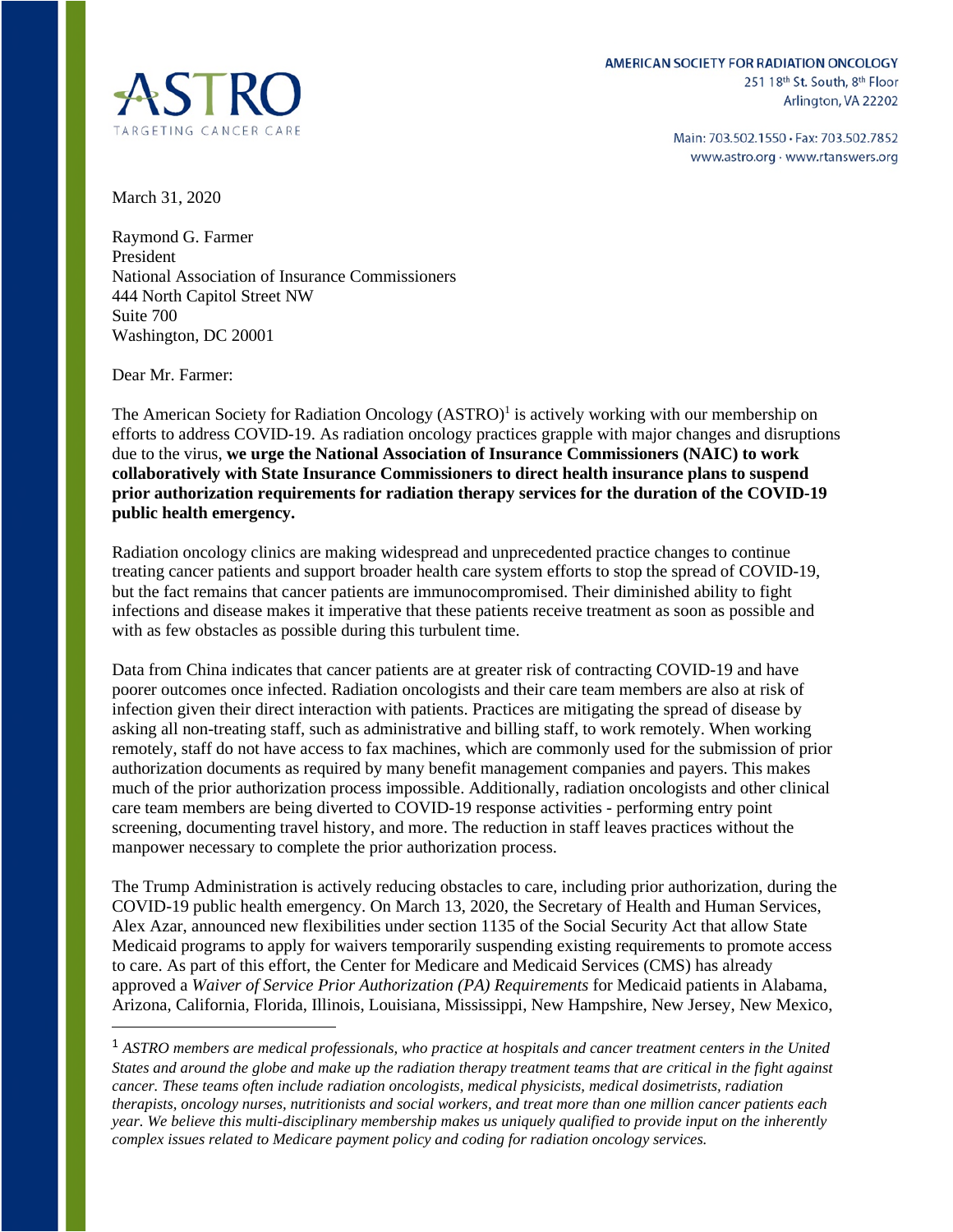

Main: 703.502.1550 · Fax: 703.502.7852 www.astro.org · www.rtanswers.org

March 31, 2020

Raymond G. Farmer President National Association of Insurance Commissioners 444 North Capitol Street NW Suite 700 Washington, DC 20001

Dear Mr. Farmer:

The American Society for Radiation Oncology (ASTRO)<sup>1</sup> is actively working with our membership on efforts to address COVID-19. As radiation oncology practices grapple with major changes and disruptions due to the virus, **we urge the National Association of Insurance Commissioners (NAIC) to work collaboratively with State Insurance Commissioners to direct health insurance plans to suspend prior authorization requirements for radiation therapy services for the duration of the COVID-19 public health emergency.**

Radiation oncology clinics are making widespread and unprecedented practice changes to continue treating cancer patients and support broader health care system efforts to stop the spread of COVID-19, but the fact remains that cancer patients are immunocompromised. Their diminished ability to fight infections and disease makes it imperative that these patients receive treatment as soon as possible and with as few obstacles as possible during this turbulent time.

Data from China indicates that cancer patients are at greater risk of contracting COVID-19 and have poorer outcomes once infected. Radiation oncologists and their care team members are also at risk of infection given their direct interaction with patients. Practices are mitigating the spread of disease by asking all non-treating staff, such as administrative and billing staff, to work remotely. When working remotely, staff do not have access to fax machines, which are commonly used for the submission of prior authorization documents as required by many benefit management companies and payers. This makes much of the prior authorization process impossible. Additionally, radiation oncologists and other clinical care team members are being diverted to COVID-19 response activities - performing entry point screening, documenting travel history, and more. The reduction in staff leaves practices without the manpower necessary to complete the prior authorization process.

The Trump Administration is actively reducing obstacles to care, including prior authorization, during the COVID-19 public health emergency. On March 13, 2020, the Secretary of Health and Human Services, Alex Azar, announced new flexibilities under section 1135 of the Social Security Act that allow State Medicaid programs to apply for waivers temporarily suspending existing requirements to promote access to care. As part of this effort, the Center for Medicare and Medicaid Services (CMS) has already approved a *Waiver of Service Prior Authorization (PA) Requirements* for Medicaid patients in Alabama, Arizona, California, Florida, Illinois, Louisiana, Mississippi, New Hampshire, New Jersey, New Mexico,

<sup>1</sup> *ASTRO members are medical professionals, who practice at hospitals and cancer treatment centers in the United States and around the globe and make up the radiation therapy treatment teams that are critical in the fight against cancer. These teams often include radiation oncologists, medical physicists, medical dosimetrists, radiation therapists, oncology nurses, nutritionists and social workers, and treat more than one million cancer patients each year. We believe this multi-disciplinary membership makes us uniquely qualified to provide input on the inherently complex issues related to Medicare payment policy and coding for radiation oncology services.*